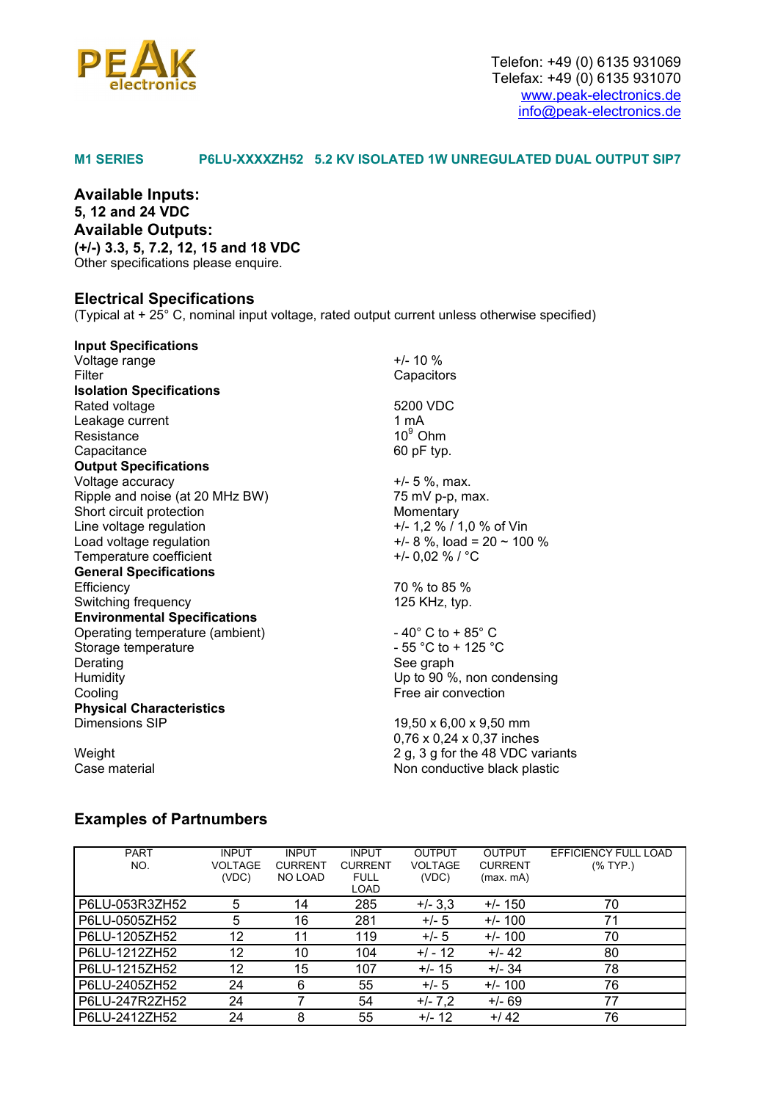

### **M1 SERIES P6LU-XXXXZH52 5.2 KV ISOLATED 1W UNREGULATED DUAL OUTPUT SIP7**

**Available Inputs: 5, 12 and 24 VDC Available Outputs: (+/-) 3.3, 5, 7.2, 12, 15 and 18 VDC**  Other specifications please enquire.

### **Electrical Specifications**

(Typical at  $+ 25^{\circ}$  C, nominal input voltage, rated output current unless otherwise specified)

| <b>Input Specifications</b>         |                                      |  |  |
|-------------------------------------|--------------------------------------|--|--|
| Voltage range                       | $+/- 10 \%$                          |  |  |
| Filter                              | Capacitors                           |  |  |
| <b>Isolation Specifications</b>     |                                      |  |  |
| Rated voltage                       | 5200 VDC                             |  |  |
| Leakage current                     | 1 mA                                 |  |  |
| Resistance                          | $10^9$ Ohm                           |  |  |
| Capacitance                         | 60 pF typ.                           |  |  |
| <b>Output Specifications</b>        |                                      |  |  |
| Voltage accuracy                    | $+/- 5 %$ , max.                     |  |  |
| Ripple and noise (at 20 MHz BW)     | 75 mV p-p, max.                      |  |  |
| Short circuit protection            | Momentary                            |  |  |
| Line voltage regulation             | +/- 1,2 % / 1,0 % of Vin             |  |  |
| Load voltage regulation             | $+/- 8$ %, load = 20 ~ 100 %         |  |  |
| Temperature coefficient             | +/- 0,02 % / $^{\circ}$ C            |  |  |
| <b>General Specifications</b>       |                                      |  |  |
| Efficiency                          | 70 % to 85 %                         |  |  |
| Switching frequency                 | 125 KHz, typ.                        |  |  |
| <b>Environmental Specifications</b> |                                      |  |  |
| Operating temperature (ambient)     | $-40^{\circ}$ C to + 85 $^{\circ}$ C |  |  |
| Storage temperature                 | $-55$ °C to + 125 °C                 |  |  |
| Derating                            | See graph                            |  |  |
| Humidity                            | Up to 90 %, non condensing           |  |  |
| Cooling                             | Free air convection                  |  |  |
| <b>Physical Characteristics</b>     |                                      |  |  |
| Dimensions SIP                      | 19,50 x 6,00 x 9,50 mm               |  |  |
|                                     | 0,76 x 0,24 x 0,37 inches            |  |  |
| Weight                              | 2 g, 3 g for the 48 VDC variants     |  |  |
| Case material                       | Non conductive black plastic         |  |  |

## **Examples of Partnumbers**

| <b>PART</b>    | <b>INPUT</b>   | <b>INPUT</b>   | <b>INPUT</b>   | <b>OUTPUT</b>  | <b>OUTPUT</b>  | EFFICIENCY FULL LOAD |
|----------------|----------------|----------------|----------------|----------------|----------------|----------------------|
| NO.            | <b>VOLTAGE</b> | <b>CURRENT</b> | <b>CURRENT</b> | <b>VOLTAGE</b> | <b>CURRENT</b> | $(%$ (% TYP.)        |
|                | (VDC)          | <b>NO LOAD</b> | <b>FULL</b>    | (VDC)          | (max.mA)       |                      |
|                |                |                | LOAD           |                |                |                      |
| P6LU-053R3ZH52 | 5              | 14             | 285            | $+/- 3,3$      | $+/- 150$      | 70                   |
| P6LU-0505ZH52  | 5              | 16             | 281            | $+/- 5$        | $+/- 100$      | 71                   |
| P6LU-1205ZH52  | 12             | 11             | 119            | $+/- 5$        | $+/- 100$      | 70                   |
| P6LU-1212ZH52  | 12             | 10             | 104            | $+/-12$        | $+/- 42$       | 80                   |
| P6LU-1215ZH52  | 12             | 15             | 107            | $+/- 15$       | $+/- 34$       | 78                   |
| P6LU-2405ZH52  | 24             | 6              | 55             | $+/- 5$        | $+/- 100$      | 76                   |
| P6LU-247R2ZH52 | 24             |                | 54             | $+/- 7,2$      | $+/- 69$       | 77                   |
| P6LU-2412ZH52  | 24             | 8              | 55             | $+/- 12$       | $+142$         | 76                   |